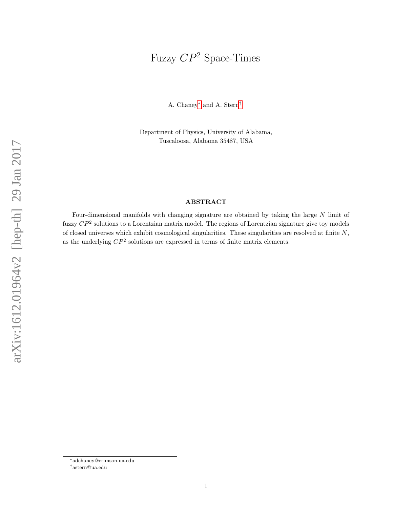# Fuzzy  $CP^2$  Space-Times

A. Chaney[∗](#page-0-0) and A. Stern[†](#page-0-1)

Department of Physics, University of Alabama, Tuscaloosa, Alabama 35487, USA

### ABSTRACT

Four-dimensional manifolds with changing signature are obtained by taking the large N limit of fuzzy  $\mathbb{CP}^2$  solutions to a Lorentzian matrix model. The regions of Lorentzian signature give toy models of closed universes which exhibit cosmological singularities. These singularities are resolved at finite  $N$ , as the underlying  $\mathbb{CP}^2$  solutions are expressed in terms of finite matrix elements.

<span id="page-0-0"></span><sup>∗</sup>adchaney@crimson.ua.edu

<span id="page-0-1"></span><sup>†</sup>astern@ua.edu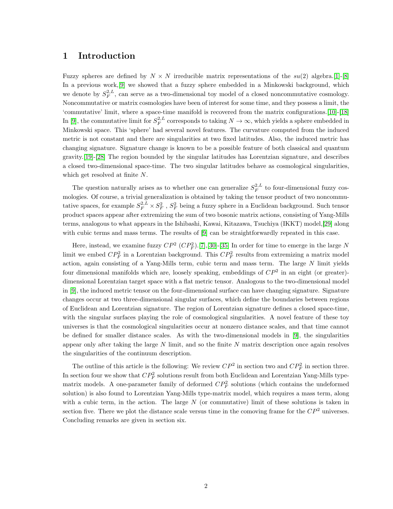## 1 Introduction

Fuzzy spheres are defined by  $N \times N$  irreducible matrix representations of the  $su(2)$  algebra. [\[1\]](#page-11-0)-[\[8\]](#page-11-1) In a previous work, [\[9\]](#page-12-0) we showed that a fuzzy sphere embedded in a Minkowski background, which we denote by  $S_F^{2,L}$ , can serve as a two-dimensional toy model of a closed noncommutative cosmology. Noncommutative or matrix cosmologies have been of interest for some time, and they possess a limit, the 'commutative' limit, where a space-time manifold is recovered from the matrix configurations.[\[10\]](#page-12-1)-[\[18\]](#page-12-2) In [\[9\]](#page-12-0), the commutative limit for  $S_F^{2,L}$  corresponds to taking  $N \to \infty$ , which yields a sphere embedded in Minkowski space. This 'sphere' had several novel features. The curvature computed from the induced metric is not constant and there are singularities at two fixed latitudes. Also, the induced metric has changing signature. Signature change is known to be a possible feature of both classical and quantum gravity.[\[19\]](#page-12-3)-[\[28\]](#page-13-0) The region bounded by the singular latitudes has Lorentzian signature, and describes a closed two-dimensional space-time. The two singular latitudes behave as cosmological singularities, which get resolved at finite N.

The question naturally arises as to whether one can generalize  $S_F^{2,L}$  to four-dimensional fuzzy cosmologies. Of course, a trivial generalization is obtained by taking the tensor product of two noncommutative spaces, for example  $S_F^{2,L} \times S_F^2$ ,  $S_F^2$  being a fuzzy sphere in a Euclidean background. Such tensor product spaces appear after extremizing the sum of two bosonic matrix actions, consisting of Yang-Mills terms, analogous to what appears in the Ishibashi, Kawai, Kitazawa, Tsuchiya (IKKT) model,[\[29\]](#page-13-1) along with cubic terms and mass terms. The results of  $[9]$  can be straightforwardly repeated in this case.

Here, instead, we examine fuzzy  $\mathbb{CP}^2$  ( $\mathbb{CP}^2_F$ ).[\[7\]](#page-11-2),[\[30\]](#page-13-2)-[\[35\]](#page-13-3) In order for time to emerge in the large N limit we embed  $\mathbb{CP}^2_F$  in a Lorentzian background. This  $\mathbb{CP}^2_F$  results from extremizing a matrix model action, again consisting of a Yang-Mills term, cubic term and mass term. The large  $N$  limit yields four dimensional manifolds which are, loosely speaking, embeddings of  $\mathbb{CP}^2$  in an eight (or greater)dimensional Lorentzian target space with a flat metric tensor. Analogous to the two-dimensional model in [\[9\]](#page-12-0), the induced metric tensor on the four-dimensional surface can have changing signature. Signature changes occur at two three-dimensional singular surfaces, which define the boundaries between regions of Euclidean and Lorentzian signature. The region of Lorentzian signature defines a closed space-time, with the singular surfaces playing the role of cosmological singularities. A novel feature of these toy universes is that the cosmological singularities occur at nonzero distance scales, and that time cannot be defined for smaller distance scales. As with the two-dimensional models in [\[9\]](#page-12-0), the singularities appear only after taking the large  $N$  limit, and so the finite  $N$  matrix description once again resolves the singularities of the continuum description.

The outline of this article is the following: We review  $\mathbb{CP}^2$  in section two and  $\mathbb{CP}^2_F$  in section three. In section four we show that  $CP_F^2$  solutions result from both Euclidean and Lorentzian Yang-Mills typematrix models. A one-parameter family of deformed  $CP_F^2$  solutions (which contains the undeformed solution) is also found to Lorentzian Yang-Mills type-matrix model, which requires a mass term, along with a cubic term, in the action. The large  $N$  (or commutative) limit of these solutions is taken in section five. There we plot the distance scale versus time in the comoving frame for the  $\mathbb{CP}^2$  universes. Concluding remarks are given in section six.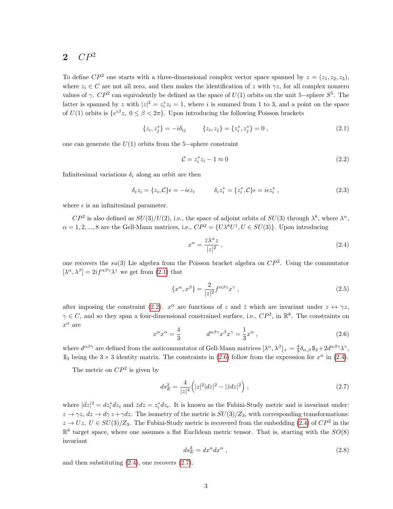## $2$   $CP<sup>2</sup>$

To define  $\mathbb{CP}^2$  one starts with a three-dimensional complex vector space spanned by  $z = (z_1, z_2, z_3)$ , where  $z_i \in C$  are not all zero, and then makes the identification of z with  $\gamma z$ , for all complex nonzero values of  $\gamma$ .  $CP^2$  can equivalently be defined as the space of  $U(1)$  orbits on the unit 5–sphere  $S^5$ . The latter is spanned by z with  $|z|^2 = z_i^* z_i = 1$ , where i is summed from 1 to 3, and a point on the space of  $U(1)$  orbits is  $\{e^{i\beta}z, 0 \leq \beta < 2\pi\}$ . Upon introducing the following Poisson brackets

<span id="page-2-0"></span>
$$
\{z_i, z_j^*\} = -i\delta_{ij} \qquad \{z_i, z_j\} = \{z_i^*, z_j^*\} = 0 , \qquad (2.1)
$$

one can generate the  $U(1)$  orbits from the 5−sphere constraint

<span id="page-2-1"></span>
$$
\mathcal{C} = z_i^* z_i - 1 \approx 0 \tag{2.2}
$$

Infinitesimal variations  $\delta_{\epsilon}$  along an orbit are then

$$
\delta_{\epsilon} z_i = \{z_i, \mathcal{C}\} \epsilon = -i\epsilon z_i \qquad \qquad \delta_{\epsilon} z_i^* = \{z_i^*, \mathcal{C}\} \epsilon = i\epsilon z_i^* \,, \tag{2.3}
$$

where  $\epsilon$  is an infinitesimal parameter.

 $\mathbb{CP}^2$  is also defined as  $SU(3)/U(2)$ , i.e., the space of adjoint orbits of  $SU(3)$  through  $\lambda^8$ , where  $\lambda^{\alpha}$ ,  $\alpha = 1, 2, ..., 8$  are the Gell-Mann matrices, i.e.,  $\mathbb{CP}^2 = \{U\lambda^8 U^{\dagger}, U \in SU(3)\}\.$  Upon introducing

<span id="page-2-3"></span>
$$
x^{\alpha} = \frac{\bar{z}\lambda^{\alpha}z}{|z|^2} \,, \tag{2.4}
$$

one recovers the  $su(3)$  Lie algebra from the Poisson bracket algebra on  $\mathbb{CP}^2$ . Using the commutator  $[\lambda^{\alpha}, \lambda^{\beta}] = 2if^{\alpha\beta\gamma}\lambda^{\gamma}$  we get from [\(2.1\)](#page-2-0) that

<span id="page-2-5"></span>
$$
\{x^{\alpha}, x^{\beta}\} = \frac{2}{|z|^2} f^{\alpha\beta\gamma} x^{\gamma} , \qquad (2.5)
$$

after imposing the constraint [\(2.2\)](#page-2-1).  $x^{\alpha}$  are functions of z and  $\bar{z}$  which are invariant under  $z \leftrightarrow \gamma z$ ,  $\gamma \in C$ , and so they span a four-dimensional constrained surface, i.e.,  $\mathbb{CP}^2$ , in  $\mathbb{R}^8$ . The constraints on  $x^{\alpha}$  are

<span id="page-2-2"></span>
$$
x^{\alpha}x^{\alpha} = \frac{4}{3} \qquad d^{\alpha\beta\gamma}x^{\beta}x^{\gamma} = \frac{1}{3}x^{\alpha} , \qquad (2.6)
$$

where  $d^{\alpha\beta\gamma}$  are defined from the anticommutator of Gell-Mann matrices  $[\lambda^{\alpha}, \lambda^{\beta}]_{+} = \frac{4}{3} \delta_{\alpha,\beta} \mathbb{1}_{3} + 2d^{\alpha\beta\gamma} \lambda^{\gamma}$ ,  $1\text{I}_3$  being the  $3 \times 3$  identity matrix. The constraints in [\(2.6\)](#page-2-2) follow from the expression for  $x^\alpha$  in [\(2.4\)](#page-2-3).

The metric on  $\mathbb{CP}^2$  is given by

<span id="page-2-4"></span>
$$
ds_E^2 = \frac{4}{|z|^4} \left( |z|^2 |dz|^2 - |\bar{z}dz|^2 \right),\tag{2.7}
$$

where  $|dz|^2 = dz_i^* dz_i$  and  $\bar{z}dz = z_i^* dz_i$ . It is known as the Fubini-Study metric and is invariant under:  $z \to \gamma z$ ,  $dz \to d\gamma z + \gamma dz$ . The isometry of the metric is  $SU(3)/Z_3$ , with corresponding transformations:  $z \to Uz$ ,  $U \in SU(3)/\mathbb{Z}_3$ . The Fubini-Study metric is recovered from the embedding [\(2.4\)](#page-2-3) of  $\mathbb{CP}^2$  in the  $\mathbb{R}^8$  target space, where one assumes a flat Euclidean metric tensor. That is, starting with the  $SO(8)$ invariant

<span id="page-2-6"></span>
$$
ds_E^2 = dx^\alpha dx^\alpha \t{,} \t(2.8)
$$

and then substituting [\(2.4\)](#page-2-3), one recovers [\(2.7\)](#page-2-4).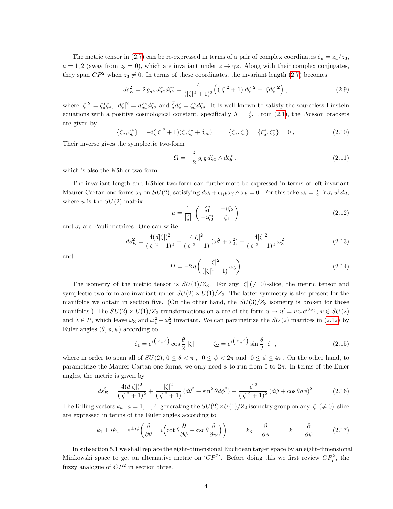The metric tensor in [\(2.7\)](#page-2-4) can be re-expressed in terms of a pair of complex coordinates  $\zeta_a = z_a/z_3$ .  $a = 1, 2$  (away from  $z_3 = 0$ ), which are invariant under  $z \to \gamma z$ . Along with their complex conjugates, they span  $\mathbb{CP}^2$  when  $z_3 \neq 0$ . In terms of these coordinates, the invariant length [\(2.7\)](#page-2-4) becomes

$$
ds_E^2 = 2 g_{a\bar{b}} d\zeta_a d\zeta_b^* = \frac{4}{(|\zeta|^2 + 1)^2} \left( (|\zeta|^2 + 1) |\zeta|^2 - |\bar{\zeta} d\zeta|^2 \right),\tag{2.9}
$$

where  $|\zeta|^2 = \zeta_a^* \zeta_a$ ,  $|d\zeta|^2 = d\zeta_a^* d\zeta_a$  and  $\bar{\zeta}d\zeta = \zeta_a^* d\zeta_a$ . It is well known to satisfy the sourceless Einstein equations with a positive cosmological constant, specifically  $\Lambda = \frac{3}{2}$ . From [\(2.1\)](#page-2-0), the Poisson brackets are given by

$$
\{\zeta_a, \zeta_b^*\} = -i(|\zeta|^2 + 1)(\zeta_a \zeta_b^* + \delta_{ab}) \qquad \{\zeta_a, \zeta_b\} = \{\zeta_a^*, \zeta_b^*\} = 0 , \qquad (2.10)
$$

Their inverse gives the symplectic two-form

$$
\Omega = -\frac{i}{2} g_{a\bar{b}} d\zeta_a \wedge d\zeta_b^*, \qquad (2.11)
$$

which is also the Kähler two-form.

The invariant length and Kähler two-form can furthermore be expressed in terms of left-invariant Maurer-Cartan one forms  $\omega_i$  on  $SU(2)$ , satisfying  $d\omega_i + \epsilon_{ijk}\omega_j \wedge \omega_k = 0$ . For this take  $\omega_i = \frac{i}{2} \text{Tr} \,\sigma_i u^{\dagger} du$ , where u is the  $SU(2)$  matrix

<span id="page-3-0"></span>
$$
u = \frac{1}{|\zeta|} \begin{pmatrix} \zeta_1^* & -i\zeta_2 \\ -i\zeta_2^* & \zeta_1 \end{pmatrix}
$$
 (2.12)

and  $\sigma_i$  are Pauli matrices. One can write

<span id="page-3-3"></span>
$$
ds_E^2 = \frac{4(d|\zeta|)^2}{(|\zeta|^2 + 1)^2} + \frac{4|\zeta|^2}{(|\zeta|^2 + 1)}\left(\omega_1^2 + \omega_2^2\right) + \frac{4|\zeta|^2}{(|\zeta|^2 + 1)^2}\omega_3^2\tag{2.13}
$$

and

<span id="page-3-1"></span>
$$
\Omega = -2 d \left( \frac{|\zeta|^2}{(|\zeta|^2 + 1)} \omega_3 \right) \tag{2.14}
$$

The isometry of the metric tensor is  $SU(3)/Z_3$ . For any  $|\zeta| \neq 0$ -slice, the metric tensor and symplectic two-form are invariant under  $SU(2) \times U(1)/Z_2$ . The latter symmetry is also present for the manifolds we obtain in section five. (On the other hand, the  $SU(3)/Z_3$  isometry is broken for those manifolds.) The  $SU(2) \times U(1)/Z_2$  transformations on u are of the form  $u \to u' = v u e^{i\lambda \sigma_3}$ ,  $v \in SU(2)$ and  $\lambda \in R$ , which leave  $\omega_3$  and  $\omega_1^2 + \omega_2^2$  invariant. We can parametrize the  $SU(2)$  matrices in [\(2.12\)](#page-3-0) by Euler angles  $(\theta, \phi, \psi)$  according to

$$
\zeta_1 = e^{i\left(\frac{\psi+\phi}{2}\right)} \cos\frac{\theta}{2} \left|\zeta\right| \qquad \zeta_2 = e^{i\left(\frac{\psi-\phi}{2}\right)} \sin\frac{\theta}{2} \left|\zeta\right|, \tag{2.15}
$$

where in order to span all of  $SU(2)$ ,  $0 \le \theta < \pi$ ,  $0 \le \psi < 2\pi$  and  $0 \le \phi \le 4\pi$ . On the other hand, to parametrize the Maurer-Cartan one forms, we only need  $\phi$  to run from 0 to  $2\pi$ . In terms of the Euler angles, the metric is given by

$$
ds_E^2 = \frac{4(d|\zeta|)^2}{(|\zeta|^2 + 1)^2} + \frac{|\zeta|^2}{(|\zeta|^2 + 1)} \left(d\theta^2 + \sin^2\theta d\phi^2\right) + \frac{|\zeta|^2}{(|\zeta|^2 + 1)^2} \left(d\psi + \cos\theta d\phi\right)^2 \tag{2.16}
$$

The Killing vectors  $k_a$ ,  $a = 1, ..., 4$ , generating the  $SU(2) \times U(1)/Z_2$  isometry group on any  $|\zeta| \neq 0$ ) -slice are expressed in terms of the Euler angles according to

<span id="page-3-2"></span>
$$
k_1 \pm ik_2 = e^{\pm i\phi} \left( \frac{\partial}{\partial \theta} \pm i \left( \cot \theta \frac{\partial}{\partial \phi} - \csc \theta \frac{\partial}{\partial \psi} \right) \right) \qquad k_3 = \frac{\partial}{\partial \phi} \qquad k_4 = \frac{\partial}{\partial \psi} \qquad (2.17)
$$

In subsection 5.1 we shall replace the eight-dimensional Euclidean target space by an eight-dimensional Minkowski space to get an alternative metric on ' $CP^2$ '. Before doing this we first review  $CP_F^2$ , the fuzzy analogue of  $\mathbb{CP}^2$  in section three.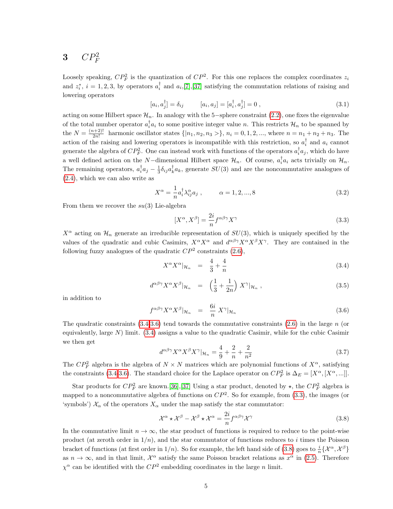## $3$   $CP_F^2$

Loosely speaking,  $\mathbb{CP}^2$  is the quantization of  $\mathbb{CP}^2$ . For this one replaces the complex coordinates  $z_i$ and  $z_i^*, i = 1, 2, 3$ , by operators  $a_i^{\dagger}$  and  $a_i$ , [\[7\]](#page-11-2), [\[37\]](#page-13-4) satisfying the commutation relations of raising and lowering operators

$$
[a_i, a_j^{\dagger}] = \delta_{ij} \qquad [a_i, a_j] = [a_i^{\dagger}, a_j^{\dagger}] = 0 , \qquad (3.1)
$$

acting on some Hilbert space  $\mathcal{H}_n$ . In analogy with the 5-sphere constraint [\(2.2\)](#page-2-1), one fixes the eigenvalue of the total number operator  $a_i^{\dagger} a_i$  to some positive integer value n. This restricts  $\mathcal{H}_n$  to be spanned by the  $N = \frac{(n+2)!}{2n!}$  $\frac{2n!}{2n!}$  harmonic oscillator states  $\{|n_1, n_2, n_3 \rangle\}$ ,  $n_i = 0, 1, 2, ...,$  where  $n = n_1 + n_2 + n_3$ . The action of the raising and lowering operators is incompatible with this restriction, so  $a_i^{\dagger}$  and  $a_i$  cannot generate the algebra of  $CP_F^2$ . One can instead work with functions of the operators  $a_i^{\dagger}a_j$ , which do have a well defined action on the N-dimensional Hilbert space  $\mathcal{H}_n$ . Of course,  $a_i^{\dagger}a_i$  acts trivially on  $\mathcal{H}_n$ . The remaining operators,  $a_i^{\dagger} a_j - \frac{1}{3} \delta_{ij} a_k^{\dagger} a_k$ , generate  $SU(3)$  and are the noncommutative analogues of [\(2.4\)](#page-2-3), which we can also write as

<span id="page-4-4"></span>
$$
X^{\alpha} = -\frac{1}{n} a_i^{\dagger} \lambda_{ij}^{\alpha} a_j , \qquad \alpha = 1, 2, ..., 8
$$
 (3.2)

From them we recover the  $su(3)$  Lie-algebra

<span id="page-4-2"></span>
$$
[X^{\alpha}, X^{\beta}] = \frac{2i}{n} f^{\alpha \beta \gamma} X^{\gamma}
$$
\n(3.3)

 $X^{\alpha}$  acting on  $\mathcal{H}_n$  generate an irreducible representation of  $SU(3)$ , which is uniquely specified by the values of the quadratic and cubic Casimirs,  $X^{\alpha}X^{\alpha}$  and  $d^{\alpha\beta\gamma}X^{\alpha}X^{\beta}X^{\gamma}$ . They are contained in the following fuzzy analogues of the quadratic  $\mathbb{CP}^2$  constraints  $(2.6)$ ,

<span id="page-4-0"></span>
$$
X^{\alpha}X^{\alpha}|_{\mathcal{H}_n} = \frac{4}{3} + \frac{4}{n} \tag{3.4}
$$

$$
d^{\alpha\beta\gamma}X^{\alpha}X^{\beta}|_{\mathcal{H}_n} = \left(\frac{1}{3} + \frac{1}{2n}\right)X^{\gamma}|_{\mathcal{H}_n},\tag{3.5}
$$

in addition to

<span id="page-4-1"></span>
$$
f^{\alpha\beta\gamma}X^{\alpha}X^{\beta}|\mathcal{H}_n = \frac{6i}{n}X^{\gamma}|\mathcal{H}_n \tag{3.6}
$$

The quadratic constraints  $(3.4-3.6)$  $(3.4-3.6)$  tend towards the commutative constraints  $(2.6)$  in the large n (or equivalently, large  $N$ ) limit. [\(3.4\)](#page-4-0) assigns a value to the quadratic Casimir, while for the cubic Casimir we then get

$$
d^{\alpha\beta\gamma}X^{\alpha}X^{\beta}X^{\gamma}|_{\mathcal{H}_n} = \frac{4}{9} + \frac{2}{n} + \frac{2}{n^2}
$$
\n(3.7)

The  $\mathbb{CP}^2_F$  algebra is the algebra of  $N \times N$  matrices which are polynomial functions of  $X^{\alpha}$ , satisfying the constraints [\(3.4-](#page-4-0)[3.6\)](#page-4-1). The standard choice for the Laplace operator on  $CP_F^2$  is  $\Delta_E = [X^\alpha, [X^\alpha, ...]]$ .

Star products for  $CP_F^2$  are known.[\[36\]](#page-13-5),[\[37\]](#page-13-4) Using a star product, denoted by  $\star$ , the  $CP_F^2$  algebra is mapped to a noncommutative algebra of functions on  $\mathbb{CP}^2$ . So for example, from [\(3.3\)](#page-4-2), the images (or 'symbols')  $\mathcal{X}_{\alpha}$  of the operators  $X_{\alpha}$  under the map satisfy the star commutator:

<span id="page-4-3"></span>
$$
\mathcal{X}^{\alpha} \star \mathcal{X}^{\beta} - \mathcal{X}^{\beta} \star \mathcal{X}^{\alpha} = \frac{2i}{n} f^{\alpha \beta \gamma} \mathcal{X}^{\gamma}
$$
 (3.8)

In the commutative limit  $n \to \infty$ , the star product of functions is required to reduce to the point-wise product (at zeroth order in  $1/n$ ), and the star commutator of functions reduces to i times the Poisson bracket of functions (at first order in 1/n). So for example, the left hand side of [\(3.8\)](#page-4-3) goes to  $\frac{i}{n} \{\mathcal{X}^{\alpha}, \mathcal{X}^{\beta}\}\$ as  $n \to \infty$ , and in that limit,  $\mathcal{X}^{\alpha}$  satisfy the same Poisson bracket relations as  $x^{\alpha}$  in [\(2.5\)](#page-2-5). Therefore  $\chi^{\alpha}$  can be identified with the  $CP^2$  embedding coordinates in the large n limit.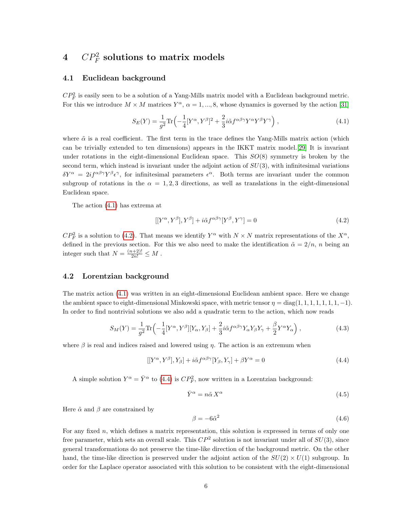## $4 \quad CP^2_F \text{ solutions to matrix models}$

#### 4.1 Euclidean background

 $CP_F^2$  is easily seen to be a solution of a Yang-Mills matrix model with a Euclidean background metric. For this we introduce  $M \times M$  matrices  $Y^{\alpha}$ ,  $\alpha = 1, ..., 8$ , whose dynamics is governed by the action [\[31\]](#page-13-6)

<span id="page-5-0"></span>
$$
S_E(Y) = \frac{1}{g^2} \text{Tr} \left( -\frac{1}{4} [Y^\alpha, Y^\beta]^2 + \frac{2}{3} i \tilde{\alpha} f^{\alpha \beta \gamma} Y^\alpha Y^\beta Y^\gamma \right), \tag{4.1}
$$

where  $\tilde{\alpha}$  is a real coefficient. The first term in the trace defines the Yang-Mills matrix action (which can be trivially extended to ten dimensions) appears in the IKKT matrix model.[\[29\]](#page-13-1) It is invariant under rotations in the eight-dimensional Euclidean space. This  $SO(8)$  symmetry is broken by the second term, which instead is invariant under the adjoint action of  $SU(3)$ , with infinitesimal variations  $\delta Y^{\alpha} = 2if^{\alpha\beta\gamma}Y^{\beta}\epsilon^{\gamma}$ , for infinitesimal parameters  $\epsilon^{\alpha}$ . Both terms are invariant under the common subgroup of rotations in the  $\alpha = 1, 2, 3$  directions, as well as translations in the eight-dimensional Euclidean space.

The action [\(4.1\)](#page-5-0) has extrema at

<span id="page-5-1"></span>
$$
[[Y^{\alpha}, Y^{\beta}], Y^{\beta}] + i\tilde{\alpha}f^{\alpha\beta\gamma}[Y^{\beta}, Y^{\gamma}] = 0
$$
\n(4.2)

 $CP_F^2$  is a solution to [\(4.2\)](#page-5-1). That means we identify  $Y^{\alpha}$  with  $N \times N$  matrix representations of the  $X^{\alpha}$ , defined in the previous section. For this we also need to make the identification  $\tilde{\alpha} = 2/n$ , n being an integer such that  $N = \frac{(n+2)!}{2n!} \leq M$ .

#### 4.2 Lorentzian background

The matrix action [\(4.1\)](#page-5-0) was written in an eight-dimensional Euclidean ambient space. Here we change the ambient space to eight-dimensional Minkowski space, with metric tensor  $\eta = \text{diag}(1, 1, 1, 1, 1, 1, 1, -1)$ . In order to find nontrivial solutions we also add a quadratic term to the action, which now reads

<span id="page-5-5"></span>
$$
S_M(Y) = \frac{1}{g^2} \text{Tr} \left( -\frac{1}{4} [Y^\alpha, Y^\beta] [Y_\alpha, Y_\beta] + \frac{2}{3} i \tilde{\alpha} f^{\alpha \beta \gamma} Y_\alpha Y_\beta Y_\gamma + \frac{\beta}{2} Y^\alpha Y_\alpha \right),\tag{4.3}
$$

where  $\beta$  is real and indices raised and lowered using  $\eta$ . The action is an extremum when

<span id="page-5-2"></span>
$$
[[Y^{\alpha}, Y^{\beta}], Y_{\beta}] + i\tilde{\alpha}f^{\alpha\beta\gamma}[Y_{\beta}, Y_{\gamma}] + \beta Y^{\alpha} = 0
$$
\n(4.4)

A simple solution  $Y^{\alpha} = \overline{Y}^{\alpha}$  to [\(4.4\)](#page-5-2) is  $CP_F^2$ , now written in a Lorentzian background:

<span id="page-5-3"></span>
$$
\bar{Y}^{\alpha} = n\tilde{\alpha}X^{\alpha} \tag{4.5}
$$

Here  $\tilde{\alpha}$  and  $\beta$  are constrained by

<span id="page-5-4"></span>
$$
\beta = -6\tilde{\alpha}^2 \tag{4.6}
$$

For any fixed  $n$ , which defines a matrix representation, this solution is expressed in terms of only one free parameter, which sets an overall scale. This  $CP^2$  solution is not invariant under all of  $SU(3)$ , since general transformations do not preserve the time-like direction of the background metric. On the other hand, the time-like direction is preserved under the adjoint action of the  $SU(2) \times U(1)$  subgroup. In order for the Laplace operator associated with this solution to be consistent with the eight-dimensional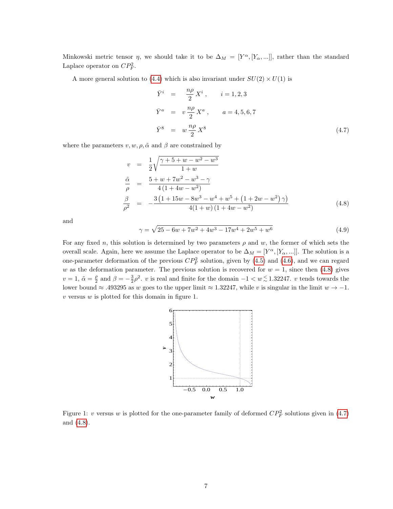Minkowski metric tensor  $\eta$ , we should take it to be  $\Delta_M = [Y^{\alpha}, [Y_{\alpha},...]]$ , rather than the standard Laplace operator on  $CP_F^2$ .

A more general solution to [\(4.4\)](#page-5-2) which is also invariant under  $SU(2) \times U(1)$  is

<span id="page-6-1"></span>
$$
\begin{aligned}\n\bar{Y}^i &= \frac{n\rho}{2} X^i \,, \qquad i = 1, 2, 3 \\
\bar{Y}^a &= v \frac{n\rho}{2} X^a \,, \qquad a = 4, 5, 6, 7 \\
\bar{Y}^8 &= w \frac{n\rho}{2} X^8\n\end{aligned} \tag{4.7}
$$

where the parameters  $v, w, \rho, \tilde{\alpha}$  and  $\beta$  are constrained by

<span id="page-6-0"></span>
$$
v = \frac{1}{2} \sqrt{\frac{\gamma + 5 + w - w^2 - w^3}{1 + w}}
$$
  
\n
$$
\frac{\tilde{\alpha}}{\rho} = \frac{5 + w + 7w^2 - w^3 - \gamma}{4(1 + 4w - w^2)}
$$
  
\n
$$
\frac{\beta}{\rho^2} = -\frac{3(1 + 15w - 8w^3 - w^4 + w^5 + (1 + 2w - w^2)\gamma)}{4(1 + w)(1 + 4w - w^2)}
$$
(4.8)

and

<span id="page-6-2"></span>
$$
\gamma = \sqrt{25 - 6w + 7w^2 + 4w^3 - 17w^4 + 2w^5 + w^6} \tag{4.9}
$$

For any fixed n, this solution is determined by two parameters  $\rho$  and w, the former of which sets the overall scale. Again, here we assume the Laplace operator to be  $\Delta_M = [Y^\alpha, [Y_\alpha, ...]]$ . The solution is a one-parameter deformation of the previous  $CP_F^2$  solution, given by [\(4.5\)](#page-5-3) and [\(4.6\)](#page-5-4), and we can regard w as the deformation parameter. The previous solution is recovered for  $w = 1$ , since then [\(4.8\)](#page-6-0) gives  $v = 1$ ,  $\tilde{\alpha} = \frac{\rho}{2}$  and  $\beta = -\frac{3}{2}\rho^2$ . v is real and finite for the domain  $-1 < w \lesssim 1.32247$ . v tends towards the lower bound  $\approx$  .493295 as w goes to the upper limit  $\approx 1.32247$ , while v is singular in the limit  $w \to -1$ .  $v$  versus  $w$  is plotted for this domain in figure 1.



Figure 1: v versus w is plotted for the one-parameter family of deformed  $CP_F^2$  solutions given in [\(4.7\)](#page-6-1) and [\(4.8\)](#page-6-0).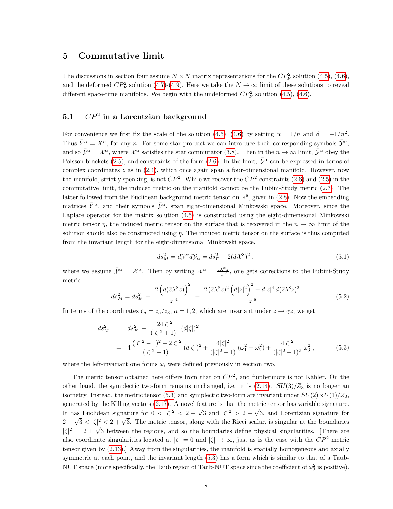## 5 Commutative limit

The discussions in section four assume  $N \times N$  matrix representations for the  $CP_F^2$  solution [\(4.5\)](#page-5-3), [\(4.6\)](#page-5-4), and the deformed  $CP_F^2$  solution [\(4.7\)](#page-6-1)-[\(4.9\)](#page-6-2). Here we take the  $N \to \infty$  limit of these solutions to reveal different space-time manifolds. We begin with the undeformed  $CP_F^2$  solution [\(4.5\)](#page-5-3), [\(4.6\)](#page-5-4).

## 5.1  $\mathbb{CP}^2$  in a Lorentzian background

For convenience we first fix the scale of the solution [\(4.5\)](#page-5-3), [\(4.6\)](#page-5-4) by setting  $\tilde{\alpha} = 1/n$  and  $\beta = -1/n^2$ . Thus  $\bar{Y}^{\alpha} = X^{\alpha}$ , for any n. For some star product we can introduce their corresponding symbols  $\bar{\mathcal{Y}}^{\alpha}$ , and so  $\bar{\mathcal{Y}}^{\alpha} = \mathcal{X}^{\alpha}$ , where  $\mathcal{X}^{\alpha}$  satisfies the star commutator [\(3.8\)](#page-4-3). Then in the  $n \to \infty$  limit,  $\bar{\mathcal{Y}}^{\alpha}$  obey the Poisson brackets [\(2.5\)](#page-2-5), and constraints of the form [\(2.6\)](#page-2-2). In the limit,  $\bar{\mathcal{Y}}^{\alpha}$  can be expressed in terms of complex coordinates  $z$  as in  $(2.4)$ , which once again span a four-dimensional manifold. However, now the manifold, strictly speaking, is not  $CP^2$ . While we recover the  $CP^2$  constraints [\(2.6\)](#page-2-2) and [\(2.5\)](#page-2-5) in the commutative limit, the induced metric on the manifold cannot be the Fubini-Study metric [\(2.7\)](#page-2-4). The latter followed from the Euclidean background metric tensor on  $\mathbb{R}^8$ , given in [\(2.8\)](#page-2-6). Now the embedding matrices  $\bar{Y}^{\alpha}$ , and their symbols  $\bar{Y}^{\alpha}$ , span eight-dimensional Minkowski space. Moreover, since the Laplace operator for the matrix solution [\(4.5\)](#page-5-3) is constructed using the eight-dimensional Minkowski metric tensor  $\eta$ , the induced metric tensor on the surface that is recovered in the  $n \to \infty$  limit of the solution should also be constructed using  $\eta$ . The induced metric tensor on the surface is thus computed from the invariant length for the eight-dimensional Minkowski space,

$$
ds_M^2 = d\bar{\mathcal{Y}}^\alpha d\bar{\mathcal{Y}}_\alpha = ds_E^2 - 2(d\mathcal{X}^8)^2 , \qquad (5.1)
$$

where we assume  $\bar{\mathcal{Y}}^{\alpha} = \mathcal{X}^{\alpha}$ . Then by writing  $\mathcal{X}^{\alpha} = \frac{\bar{z} \lambda^{\alpha} z}{|z|^2}$ , one gets corrections to the Fubini-Study metric

$$
ds_M^2 = ds_E^2 - \frac{2\left(d(\bar{z}\lambda^8 z)\right)^2}{|z|^4} - \frac{2\left(\bar{z}\lambda^8 z\right)^2 \left(d|z|^2\right)^2 - d|z|^4 \, d(\bar{z}\lambda^8 z)^2}{|z|^8} \tag{5.2}
$$

In terms of the coordinates  $\zeta_a = z_a/z_3$ ,  $a = 1, 2$ , which are invariant under  $z \to \gamma z$ , we get

<span id="page-7-0"></span>
$$
ds_M^2 = ds_E^2 - \frac{24|\zeta|^2}{(|\zeta|^2 + 1)^4} (d|\zeta|)^2
$$
  
= 
$$
4 \frac{(|\zeta|^2 - 1)^2 - 2|\zeta|^2}{(|\zeta|^2 + 1)^4} (d|\zeta|)^2 + \frac{4|\zeta|^2}{(|\zeta|^2 + 1)} (\omega_1^2 + \omega_2^2) + \frac{4|\zeta|^2}{(|\zeta|^2 + 1)^2} \omega_3^2,
$$
 (5.3)

where the left-invariant one forms  $\omega_i$  were defined previously in section two.

The metric tensor obtained here differs from that on  $\mathbb{CP}^2$ , and furthermore is not Kähler. On the other hand, the symplectic two-form remains unchanged, i.e. it is  $(2.14)$ .  $SU(3)/Z_3$  is no longer an isometry. Instead, the metric tensor [\(5.3\)](#page-7-0) and symplectic two-form are invariant under  $SU(2)\times U(1)/Z_2$ , generated by the Killing vectors  $(2.17)$ . A novel feature is that the metric tensor has variable signature. It has Euclidean signature for  $0 < |\zeta|^2 < 2 - \sqrt{3}$  and  $|\zeta|^2 > 2 + \sqrt{3}$ , and Lorentzian signature for  $2-$ √  $3 < |\zeta|^2 < 2 + \sqrt{3}$ . The metric tensor, along with the Ricci scalar, is singular at the boundaries  $|\zeta|^2 = 2 \pm \sqrt{2}$ 3 between the regions, and so the boundaries define physical singularities. [There are also coordinate singularities located at  $|\zeta| = 0$  and  $|\zeta| \to \infty$ , just as is the case with the  $\mathbb{CP}^2$  metric tensor given by [\(2.13\)](#page-3-3).] Away from the singularities, the manifold is spatially homogeneous and axially symmetric at each point, and the invariant length [\(5.3\)](#page-7-0) has a form which is similar to that of a Taub-NUT space (more specifically, the Taub region of Taub-NUT space since the coefficient of  $\omega_3^2$  is positive).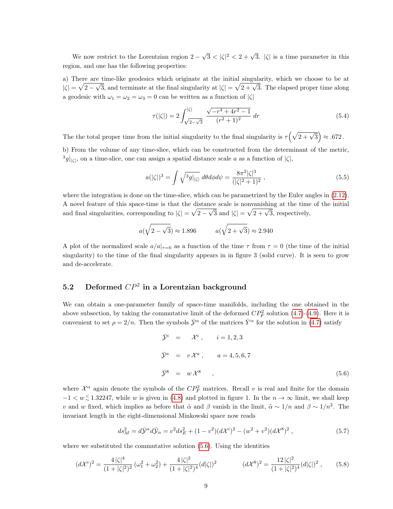We now restrict to the Lorentzian region 2 − √  $\sqrt{3} < |\zeta|^2 < 2 + \sqrt{3}$ .  $|\zeta|$  is a time parameter in this region, and one has the following properties:

a) There are time-like geodesics which originate at the initial singularity, which we choose to be at  $|\zeta| = \sqrt{2 - \zeta}$  $\frac{c}{\sqrt{2}}$  $\frac{1}{3}$ , and terminate at the final singularity at  $|\zeta| = \sqrt{2 + \sqrt{3}}$ . The elapsed proper time along a geodesic with  $\omega_1 = \omega_2 = \omega_3 = 0$  can be written as a function of  $|\zeta|$ 

<span id="page-8-1"></span>
$$
\tau(|\zeta|) = 2 \int_{\sqrt{2-\sqrt{3}}}^{|\zeta|} \frac{\sqrt{-r^4 + 4r^2 - 1}}{(r^2 + 1)^2} dr \tag{5.4}
$$

The the total proper time from the initial singularity to the final singularity is  $\tau(\sqrt{2+\sqrt{3}}) \approx .672$ .

b) From the volume of any time-slice, which can be constructed from the determinant of the metric,  $\frac{3}{g}|_{\zeta}$ , on a time-slice, one can assign a spatial distance scale a as a function of  $|\zeta|$ ,

<span id="page-8-2"></span>
$$
a(|\zeta|)^3 = \int \sqrt{^3 g|_{|\zeta|}} \, d\theta d\phi d\psi = \frac{8\pi^2 |\zeta|^3}{(|\zeta|^2 + 1)^2} \,, \tag{5.5}
$$

where the integration is done on the time-slice, which can be parametrized by the Euler angles in  $(2.12)$ . A novel feature of this space-time is that the distance scale is nonvanishing at the time of the initial  $\sqrt{\sqrt{g}}$ and final singularities, corresponding to  $|\zeta| = \sqrt{2-\sqrt{3}}$  and  $|\zeta| = \sqrt{2+\sqrt{3}}$ , respectively,

$$
a(\sqrt{2-\sqrt{3}}) \approx 1.896
$$
  $a(\sqrt{2+\sqrt{3}}) \approx 2.940$ 

A plot of the normalized scale  $a/a|_{\tau=0}$  as a function of the time  $\tau$  from  $\tau=0$  (the time of the initial singularity) to the time of the final singularity appears in in figure 3 (solid curve). It is seen to grow and de-accelerate.

## 5.2 Deformed  $\mathbb{CP}^2$  in a Lorentzian background

We can obtain a one-parameter family of space-time manifolds, including the one obtained in the above subsection, by taking the commutative limit of the deformed  $CP_F^2$  solution [\(4.7\)](#page-6-1)-[\(4.9\)](#page-6-2). Here it is convenient to set  $\rho = 2/n$ . Then the symbols  $\bar{\mathcal{Y}}^{\alpha}$  of the matrices  $\bar{Y}^{\alpha}$  for the solution in [\(4.7\)](#page-6-1) satisfy

<span id="page-8-0"></span>
$$
\bar{\mathcal{Y}}^i = \mathcal{X}^i, \qquad i = 1, 2, 3
$$
  

$$
\bar{\mathcal{Y}}^a = v \mathcal{X}^a, \qquad a = 4, 5, 6, 7
$$
  

$$
\bar{\mathcal{Y}}^8 = w \mathcal{X}^8 \qquad , \tag{5.6}
$$

where  $\mathcal{X}^{\alpha}$  again denote the symbols of the  $\mathbb{CP}^2$  matrices. Recall v is real and finite for the domain  $-1 < w \le 1.32247$ , while w is given in [\(4.8\)](#page-6-0) and plotted in figure 1. In the  $n \to \infty$  limit, we shall keep v and w fixed, which implies as before that  $\tilde{\alpha}$  and  $\beta$  vanish in the limit,  $\tilde{\alpha} \sim 1/n$  and  $\beta \sim 1/n^2$ . The invariant length in the eight-dimensional Minkowski space now reads

$$
ds_M^2 = d\bar{\mathcal{Y}}^\alpha d\bar{\mathcal{Y}}_\alpha = v^2 ds_E^2 + (1 - v^2)(d\mathcal{X}^i)^2 - (w^2 + v^2)(d\mathcal{X}^8)^2 ,\qquad (5.7)
$$

where we substituted the commutative solution  $(5.6)$ . Using the identities

$$
(d\mathcal{X}^i)^2 = \frac{4|\zeta|^4}{(1+|\zeta|^2)^2} \left(\omega_1^2 + \omega_2^2\right) + \frac{4|\zeta|^2}{(1+|\zeta|^2)^4} (d|\zeta|)^2 \qquad (d\mathcal{X}^8)^2 = \frac{12|\zeta|^2}{(1+|\zeta|^2)^4} (d|\zeta|)^2 \,, \tag{5.8}
$$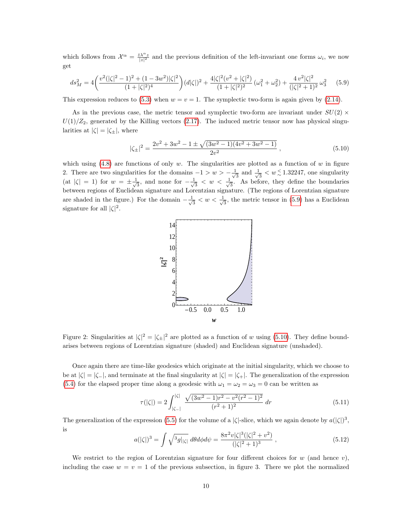which follows from  $\mathcal{X}^{\alpha} = \frac{\bar{z} \lambda^{\alpha} z}{|z|^2}$  and the previous definition of the left-invariant one forms  $\omega_i$ , we now get

<span id="page-9-0"></span>
$$
ds_M^2 = 4\left(\frac{v^2(|\zeta|^2 - 1)^2 + (1 - 3w^2)|\zeta|^2}{(1 + |\zeta|^2)^4}\right)(d|\zeta|)^2 + \frac{4|\zeta|^2(v^2 + |\zeta|^2)}{(1 + |\zeta|^2)^2}(\omega_1^2 + \omega_2^2) + \frac{4v^2|\zeta|^2}{(|\zeta|^2 + 1)^2}\omega_3^2\tag{5.9}
$$

This expression reduces to [\(5.3\)](#page-7-0) when  $w = v = 1$ . The symplectic two-form is again given by [\(2.14\)](#page-3-1).

As in the previous case, the metric tensor and symplectic two-form are invariant under  $SU(2)$  ×  $U(1)/Z_2$ , generated by the Killing vectors [\(2.17\)](#page-3-2). The induced metric tensor now has physical singularities at  $|\zeta| = |\zeta_{\pm}|$ , where

<span id="page-9-1"></span>
$$
|\zeta_{\pm}|^2 = \frac{2v^2 + 3w^2 - 1 \pm \sqrt{(3w^2 - 1)(4v^2 + 3w^2 - 1)}}{2v^2}, \qquad (5.10)
$$

which using  $(4.8)$  are functions of only w. The singularities are plotted as a function of w in figure 2. There are two singularities for the domains  $-1 > w > -\frac{1}{4}$  $\frac{1}{3}$  and  $\frac{1}{\sqrt{3}}$  $\frac{1}{3} < w \, \frac{\leq}{0} \, 1.32247$ , one singularity (at  $|\zeta| = 1$ ) for  $w = \pm \frac{1}{\sqrt{2}}$  $\frac{1}{3}$ , and none for  $-\frac{1}{\sqrt{3}}$  $\frac{1}{3}$  < w <  $\frac{1}{\sqrt{3}}$  $\frac{1}{3}$ . As before, they define the boundaries between regions of Euclidean signature and Lorentzian signature. (The regions of Lorentzian signature are shaded in the figure.) For the domain  $-\frac{1}{4}$  $\frac{1}{3} < w < \frac{1}{\sqrt{2}}$  $\frac{1}{3}$ , the metric tensor in [\(5.9\)](#page-9-0) has a Euclidean signature for all  $|\zeta|^2$ .



Figure 2: Singularities at  $|\zeta|^2 = |\zeta_{\pm}|^2$  are plotted as a function of w using [\(5.10\)](#page-9-1). They define boundarises between regions of Lorentzian signature (shaded) and Euclidean signature (unshaded).

Once again there are time-like geodesics which originate at the initial singularity, which we choose to be at  $|\zeta| = |\zeta_-\|$ , and terminate at the final singularity at  $|\zeta| = |\zeta_+\|$ . The generalization of the expression [\(5.4\)](#page-8-1) for the elapsed proper time along a geodesic with  $\omega_1 = \omega_2 = \omega_3 = 0$  can be written as

$$
\tau(|\zeta|) = 2 \int_{|\zeta_-|}^{|\zeta|} \frac{\sqrt{(3w^2 - 1)r^2 - v^2(r^2 - 1)^2}}{(r^2 + 1)^2} dr \tag{5.11}
$$

The generalization of the expression [\(5.5\)](#page-8-2) for the volume of a  $|\zeta|$ -slice, which we again denote by  $a(|\zeta|)^3$ , is

$$
a(|\zeta|)^3 = \int \sqrt{^3 g|_{|\zeta|}} \, d\theta d\phi d\psi = \frac{8\pi^2 v |\zeta|^3 (|\zeta|^2 + v^2)}{(|\zeta|^2 + 1)^3} \,, \tag{5.12}
$$

We restrict to the region of Lorentzian signature for four different choices for w (and hence v), including the case  $w = v = 1$  of the previous subsection, in figure 3. There we plot the normalized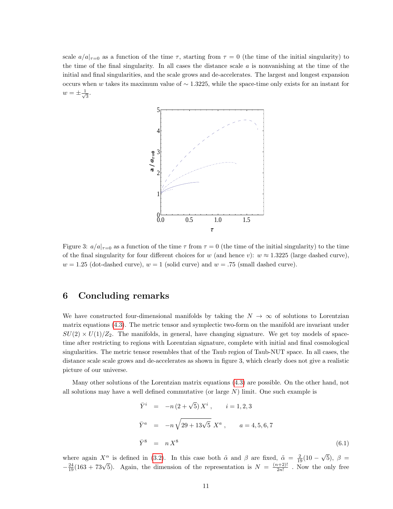scale  $a/a|_{\tau=0}$  as a function of the time  $\tau$ , starting from  $\tau=0$  (the time of the initial singularity) to the time of the final singularity. In all cases the distance scale  $a$  is nonvanishing at the time of the initial and final singularities, and the scale grows and de-accelerates. The largest and longest expansion occurs when w takes its maximum value of  $\sim$  1.3225, while the space-time only exists for an instant for  $w=\pm\frac{1}{\sqrt{2}}$  $\frac{1}{3}$ .



Figure 3:  $a/a|_{\tau=0}$  as a function of the time  $\tau$  from  $\tau=0$  (the time of the initial singularity) to the time of the final singularity for four different choices for w (and hence v):  $w \approx 1.3225$  (large dashed curve),  $w = 1.25$  (dot-dashed curve),  $w = 1$  (solid curve) and  $w = .75$  (small dashed curve).

## 6 Concluding remarks

We have constructed four-dimensional manifolds by taking the  $N \to \infty$  of solutions to Lorentzian matrix equations [\(4.3\)](#page-5-5). The metric tensor and symplectic two-form on the manifold are invariant under  $SU(2) \times U(1)/Z_2$ . The manifolds, in general, have changing signature. We get toy models of spacetime after restricting to regions with Lorentzian signature, complete with initial and final cosmological singularities. The metric tensor resembles that of the Taub region of Taub-NUT space. In all cases, the distance scale scale grows and de-accelerates as shown in figure 3, which clearly does not give a realistic picture of our universe.

Many other solutions of the Lorentzian matrix equations [\(4.3\)](#page-5-5) are possible. On the other hand, not all solutions may have a well defined commutative (or large  $N$ ) limit. One such example is

$$
\begin{aligned}\n\bar{Y}^i &= -n(2+\sqrt{5})X^i, \qquad i=1,2,3 \\
\bar{Y}^a &= -n\sqrt{29+13\sqrt{5}}X^a, \qquad a=4,5,6,7 \\
\bar{Y}^8 &= nX^8\n\end{aligned} \tag{6.1}
$$

where again  $X^{\alpha}$  is defined in [\(3.2\)](#page-4-4). In this case both  $\tilde{\alpha}$  and  $\beta$  are fixed,  $\tilde{\alpha} = \frac{2}{19}(10 -$ √ 5),  $\beta =$ where again  $X$  is defined in (5.2). In this case both a and  $\beta$  are fixed,  $\frac{(n+2)!}{2n!}$ <br> $-\frac{24}{19}(163 + 73\sqrt{5})$ . Again, the dimension of the representation is  $N = \frac{(n+2)!}{2n!}$  $\frac{2n!}{2n!}$ . Now the only free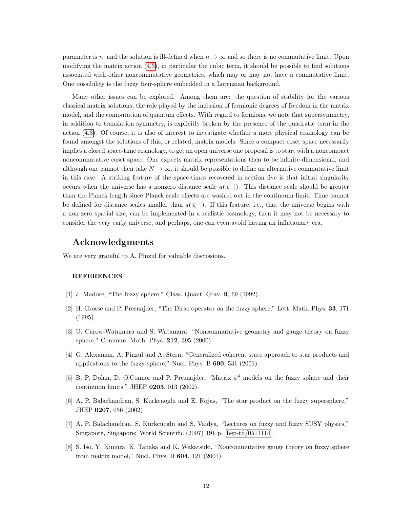parameter is n, and the solution is ill-defined when  $n \to \infty$  and so there is no commutative limit. Upon modifying the matrix action [\(4.3\)](#page-5-5), in particular the cubic term, it should be possible to find solutions associated with other noncommutative geometries, which may or may not have a commutative limit. One possibility is the fuzzy four-sphere embedded in a Lorenzian background.

Many other issues can be explored. Among them are: the question of stability for the various classical matrix solutions, the role played by the inclusion of fermionic degrees of freedom in the matrix model, and the computation of quantum effects. With regard to fermions, we note that supersymmetry, in addition to translation symmetry, is explicitly broken by the presence of the quadratic term in the action [\(4.3\)](#page-5-5). Of course, it is also of interest to investigate whether a more physical cosmology can be found amongst the solutions of this, or related, matrix models. Since a compact coset space necessarily implies a closed space-time cosmology, to get an open universe one proposal is to start with a noncompact noncommutative coset space. One expects matrix representations then to be infinite-dimensional, and although one cannot then take  $N \to \infty$ , it should be possible to define an alternative commutative limit in this case. A striking feature of the space-times recovered in section five is that initial singularity occurs when the universe has a nonzero distance scale  $a(|\zeta|)$ . This distance scale should be greater than the Planck length since Planck scale effects are washed out in the continuum limit. Time cannot be defined for distance scales smaller than  $a(|\zeta_-\rangle)$ . If this feature, i.e., that the universe begins with a non zero spatial size, can be implemented in a realistic cosmology, then it may not be necessary to consider the very early universe, and perhaps, one can even avoid having an inflationary era.

### Acknowledgments

We are very grateful to A. Pinzul for valuable discussions.

#### REFERENCES

- <span id="page-11-0"></span>[1] J. Madore, "The fuzzy sphere," Class. Quant. Grav. 9, 69 (1992).
- [2] H. Grosse and P. Presnajder, "The Dirac operator on the fuzzy sphere," Lett. Math. Phys. 33, 171 (1995).
- [3] U. Carow-Watamura and S. Watamura, "Noncommutative geometry and gauge theory on fuzzy sphere," Commun. Math. Phys. 212, 395 (2000).
- [4] G. Alexanian, A. Pinzul and A. Stern, "Generalized coherent state approach to star products and applications to the fuzzy sphere," Nucl. Phys. B 600, 531 (2001).
- [5] B. P. Dolan, D. O'Connor and P. Presnajder, "Matrix  $\phi^4$  models on the fuzzy sphere and their continuum limits," JHEP 0203, 013 (2002).
- [6] A. P. Balachandran, S. Kurkcuoglu and E. Rojas, "The star product on the fuzzy supersphere," JHEP 0207, 056 (2002)
- <span id="page-11-2"></span>[7] A. P. Balachandran, S. Kurkcuoglu and S. Vaidya, "Lectures on fuzzy and fuzzy SUSY physics," Singapore, Singapore: World Scientific (2007) 191 p. [\[hep-th/0511114\]](http://arxiv.org/abs/hep-th/0511114).
- <span id="page-11-1"></span>[8] S. Iso, Y. Kimura, K. Tanaka and K. Wakatsuki, "Noncommutative gauge theory on fuzzy sphere from matrix model," Nucl. Phys. B 604, 121 (2001).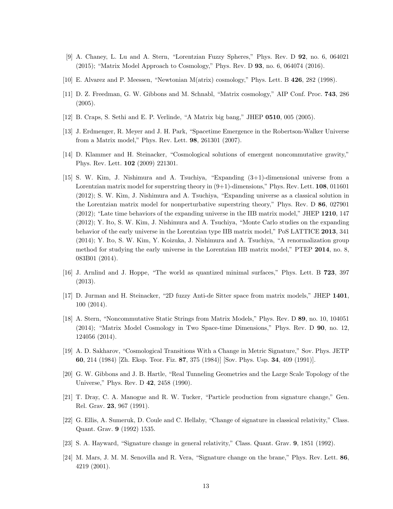- <span id="page-12-0"></span>[9] A. Chaney, L. Lu and A. Stern, "Lorentzian Fuzzy Spheres," Phys. Rev. D 92, no. 6, 064021  $(2015)$ ; "Matrix Model Approach to Cosmology," Phys. Rev. D **93**, no. 6, 064074 (2016).
- <span id="page-12-1"></span>[10] E. Alvarez and P. Meessen, "Newtonian M(atrix) cosmology," Phys. Lett. B 426, 282 (1998).
- [11] D. Z. Freedman, G. W. Gibbons and M. Schnabl, "Matrix cosmology," AIP Conf. Proc. 743, 286 (2005).
- [12] B. Craps, S. Sethi and E. P. Verlinde, "A Matrix big bang," JHEP 0510, 005 (2005).
- [13] J. Erdmenger, R. Meyer and J. H. Park, "Spacetime Emergence in the Robertson-Walker Universe from a Matrix model," Phys. Rev. Lett. 98, 261301 (2007).
- [14] D. Klammer and H. Steinacker, "Cosmological solutions of emergent noncommutative gravity," Phys. Rev. Lett. 102 (2009) 221301.
- [15] S. W. Kim, J. Nishimura and A. Tsuchiya, "Expanding (3+1)-dimensional universe from a Lorentzian matrix model for superstring theory in  $(9+1)$ -dimensions," Phys. Rev. Lett. **108**, 011601 (2012); S. W. Kim, J. Nishimura and A. Tsuchiya, "Expanding universe as a classical solution in the Lorentzian matrix model for nonperturbative superstring theory," Phys. Rev. D 86, 027901  $(2012)$ ; "Late time behaviors of the expanding universe in the IIB matrix model," JHEP 1210, 147 (2012); Y. Ito, S. W. Kim, J. Nishimura and A. Tsuchiya, "Monte Carlo studies on the expanding behavior of the early universe in the Lorentzian type IIB matrix model," PoS LATTICE 2013, 341 (2014); Y. Ito, S. W. Kim, Y. Koizuka, J. Nishimura and A. Tsuchiya, "A renormalization group method for studying the early universe in the Lorentzian IIB matrix model," PTEP 2014, no. 8, 083B01 (2014).
- [16] J. Arnlind and J. Hoppe, "The world as quantized minimal surfaces," Phys. Lett. B 723, 397 (2013).
- [17] D. Jurman and H. Steinacker, "2D fuzzy Anti-de Sitter space from matrix models," JHEP 1401, 100 (2014).
- <span id="page-12-2"></span>[18] A. Stern, "Noncommutative Static Strings from Matrix Models," Phys. Rev. D 89, no. 10, 104051 (2014); "Matrix Model Cosmology in Two Space-time Dimensions," Phys. Rev. D 90, no. 12, 124056 (2014).
- <span id="page-12-3"></span>[19] A. D. Sakharov, "Cosmological Transitions With a Change in Metric Signature," Sov. Phys. JETP 60, 214 (1984) [Zh. Eksp. Teor. Fiz. 87, 375 (1984)] [Sov. Phys. Usp. 34, 409 (1991)].
- [20] G. W. Gibbons and J. B. Hartle, "Real Tunneling Geometries and the Large Scale Topology of the Universe," Phys. Rev. D 42, 2458 (1990).
- [21] T. Dray, C. A. Manogue and R. W. Tucker, "Particle production from signature change," Gen. Rel. Grav. 23, 967 (1991).
- [22] G. Ellis, A. Sumeruk, D. Coule and C. Hellaby, "Change of signature in classical relativity," Class. Quant. Grav. 9 (1992) 1535.
- [23] S. A. Hayward, "Signature change in general relativity," Class. Quant. Grav. 9, 1851 (1992).
- [24] M. Mars, J. M. M. Senovilla and R. Vera, "Signature change on the brane," Phys. Rev. Lett. 86, 4219 (2001).